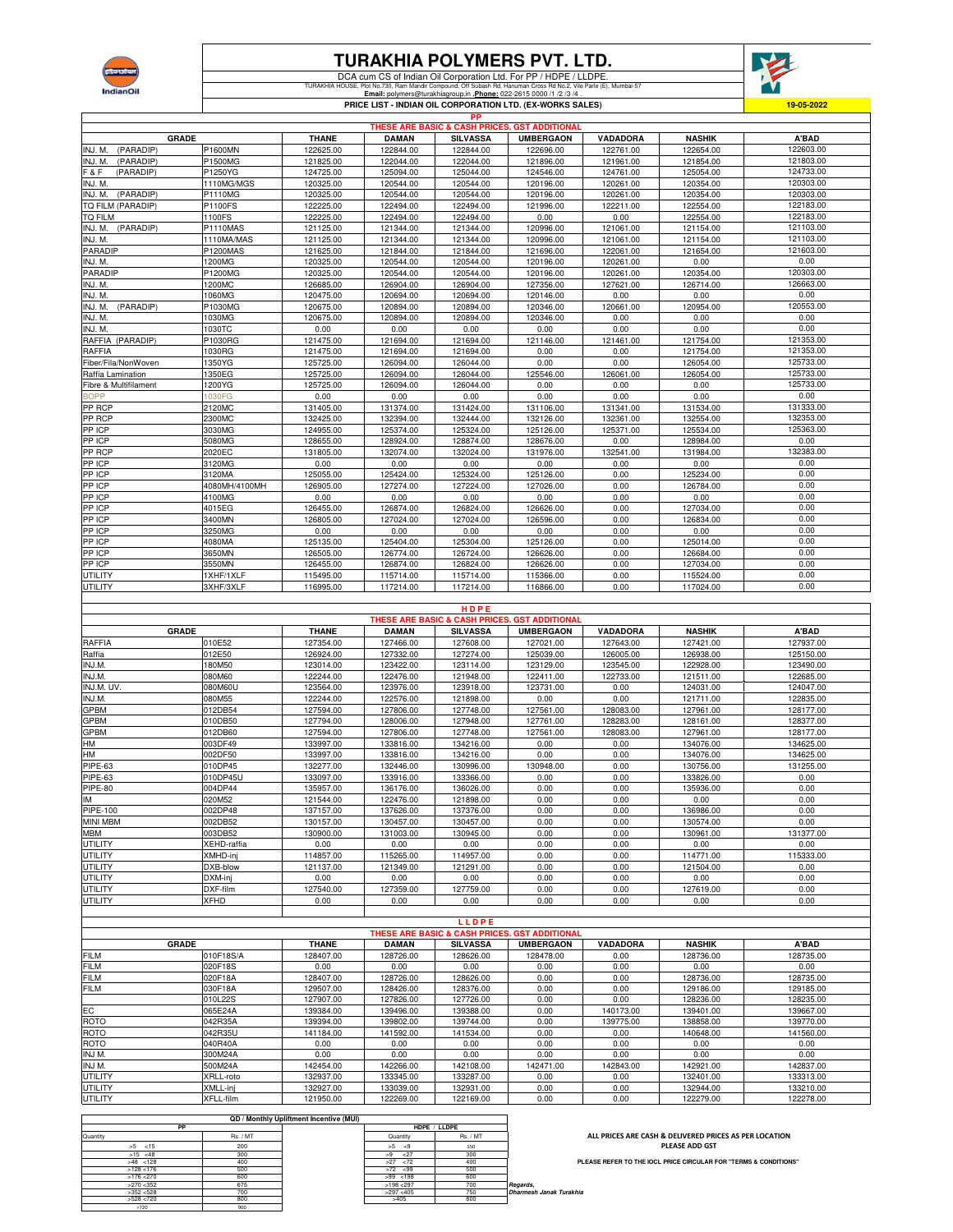

## **TURAKHIA POLYMERS PVT. LTD.**

DCA cum CS of Indian Oil Corporation Ltd. For PP / HDPE / LLDPE. TURAKHIA HOUSE, Plot No.730, Ram Mandir Compound, Off Subash Rd, Hanuman Cross Rd No.2, Vile Parle (E), Mumbai-57 **Email:** polymers@turakhiagroup.in **.Phone:** 022-2615 0000 /1 /2 /3 /4 .



**PRICE LIST - INDIAN OIL CORPORATION LTD. (EX-WORKS SALES)**

| PP                    |               |              |              |                 |                                                          |           |               |           |  |  |
|-----------------------|---------------|--------------|--------------|-----------------|----------------------------------------------------------|-----------|---------------|-----------|--|--|
|                       |               |              |              |                 | <b>THESE ARE BASIC &amp; CASH PRICES, GST ADDITIONAL</b> |           |               |           |  |  |
| <b>GRADE</b>          |               | <b>THANE</b> | <b>DAMAN</b> | <b>SILVASSA</b> | <b>UMBERGAON</b>                                         | VADADORA  | <b>NASHIK</b> | A'BAD     |  |  |
| INJ. M.<br>(PARADIP)  | P1600MN       | 122625.00    | 122844.00    | 122844.00       | 122696.00                                                | 122761.00 | 122654.00     | 122603.00 |  |  |
| INJ. M.<br>(PARADIP)  | P1500MG       | 121825.00    | 122044.00    | 122044.00       | 121896.00                                                | 121961.00 | 121854.00     | 121803.00 |  |  |
| F & F<br>(PARADIP)    | P1250YG       | 124725.00    | 125094.00    | 125044.00       | 124546.00                                                | 124761.00 | 125054.00     | 124733.00 |  |  |
| INJ. M.               | 1110MG/MGS    | 120325.00    | 120544.00    | 120544.00       | 120196.00                                                | 120261.00 | 120354.00     | 120303.00 |  |  |
| (PARADIP)<br>INJ. M.  | P1110MG       | 120325.00    | 120544.00    | 120544.00       | 120196.00                                                | 120261.00 | 120354.00     | 120303.00 |  |  |
| TO FILM (PARADIP)     | P1100FS       | 122225.00    | 122494.00    | 122494.00       | 121996.00                                                | 122211.00 | 122554.00     | 122183.00 |  |  |
| <b>TQ FILM</b>        | 1100FS        | 122225.00    | 122494.00    | 122494.00       | 0.00                                                     | 0.00      | 122554.00     | 122183.00 |  |  |
| INJ. M. (PARADIP)     | P1110MAS      | 121125.00    | 121344.00    | 121344.00       | 120996.00                                                | 121061.00 | 121154.00     | 121103.00 |  |  |
| INJ. M.               | 1110MA/MAS    | 121125.00    | 121344.00    | 121344.00       | 120996.00                                                | 121061.00 | 121154.00     | 121103.00 |  |  |
| PARADIP               | P1200MAS      | 121625.00    | 121844.00    | 121844.00       | 121696.00                                                | 122061.00 | 121654.00     | 121603.00 |  |  |
| INJ. M.               | 1200MG        | 120325.00    | 120544.00    | 120544.00       | 120196.00                                                | 120261.00 | 0.00          | 0.00      |  |  |
| PARADIP               | P1200MG       | 120325.00    | 120544.00    | 120544.00       | 120196.00                                                | 120261.00 | 120354.00     | 120303.00 |  |  |
| INJ. M.               | 1200MC        | 126685.00    | 126904.00    | 126904.00       | 127356.00                                                | 127621.00 | 126714.00     | 126663.00 |  |  |
| INJ. M.               | 1060MG        | 120475.00    | 120694.00    | 120694.00       | 120146.00                                                | 0.00      | 0.00          | 0.00      |  |  |
| (PARADIP)<br>INJ. M.  | P1030MG       | 120675.00    | 120894.00    | 120894.00       | 120346.00                                                | 120661.00 | 120954.00     | 120553.00 |  |  |
| INJ. M.               | 1030MG        | 120675.00    | 120894.00    | 120894.00       | 120346.00                                                | 0.00      | 0.00          | 0.00      |  |  |
| INJ. M.               | 1030TC        | 0.00         | 0.00         | 0.00            | 0.00                                                     | 0.00      | 0.00          | 0.00      |  |  |
| RAFFIA (PARADIP)      | P1030RG       | 121475.00    | 121694.00    | 121694.00       | 121146.00                                                | 121461.00 | 121754.00     | 121353.00 |  |  |
| RAFFIA                | 1030RG        | 121475.00    | 121694.00    | 121694.00       | 0.00                                                     | 0.00      | 121754.00     | 121353.00 |  |  |
| Fiber/Fila/NonWoven   | 1350YG        | 125725.00    | 126094.00    | 126044.00       | 0.00                                                     | 0.00      | 126054.00     | 125733.00 |  |  |
| Raffia Lamination     | 1350EG        | 125725.00    | 126094.00    | 126044.00       | 125546.00                                                | 126061.00 | 126054.00     | 125733.00 |  |  |
| Fibre & Multifilament | 1200YG        | 125725.00    | 126094.00    | 126044.00       | 0.00                                                     | 0.00      | 0.00          | 125733.00 |  |  |
| <b>BOPP</b>           | 1030FG        | 0.00         | 0.00         | 0.00            | 0.00                                                     | 0.00      | 0.00          | 0.00      |  |  |
| PP RCP                | 2120MC        | 131405.00    | 131374.00    | 131424.00       | 131106.00                                                | 131341.00 | 131534.00     | 131333.00 |  |  |
| PP RCP                | 2300MC        | 132425.00    | 132394.00    | 132444.00       | 132126.00                                                | 132361.00 | 132554.00     | 132353.00 |  |  |
| PP ICP                | 3030MG        | 124955.00    | 125374.00    | 125324.00       | 125126.00                                                | 125371.00 | 125534.00     | 125363.00 |  |  |
| PP ICP                | 5080MG        | 128655.00    | 128924.00    | 128874.00       | 128676.00                                                | 0.00      | 128984.00     | 0.00      |  |  |
| PP RCP                | 2020EC        | 131805.00    | 132074.00    | 132024.00       | 131976.00                                                | 132541.00 | 131984.00     | 132383.00 |  |  |
| PP ICP                | 3120MG        | 0.00         | 0.00         | 0.00            | 0.00                                                     | 0.00      | 0.00          | 0.00      |  |  |
| PP ICP                | 3120MA        | 125055.00    | 125424.00    | 125324.00       | 125126.00                                                | 0.00      | 125234.00     | 0.00      |  |  |
| PP ICP                | 4080MH/4100MH | 126905.00    | 127274.00    | 127224.00       | 127026.00                                                | 0.00      | 126784.00     | 0.00      |  |  |
| PP ICP                | 4100MG        | 0.00         | 0.00         | 0.00            | 0.00                                                     | 0.00      | 0.00          | 0.00      |  |  |
| PP ICP                | 4015EG        | 126455.00    | 126874.00    | 126824.00       | 126626.00                                                | 0.00      | 127034.00     | 0.00      |  |  |
| PP ICP                | 3400MN        | 126805.00    | 127024.00    | 127024.00       | 126596.00                                                | 0.00      | 126834.00     | 0.00      |  |  |
| PP ICP                | 3250MG        | 0.00         | 0.00         | 0.00            | 0.00                                                     | 0.00      | 0.00          | 0.00      |  |  |
| PP ICP                | 4080MA        | 125135.00    | 125404.00    | 125304.00       | 125126.00                                                | 0.00      | 125014.00     | 0.00      |  |  |
| PP ICP                | 3650MN        | 126505.00    | 126774.00    | 126724.00       | 126626.00                                                | 0.00      | 126684.00     | 0.00      |  |  |
| PP ICP                | 3550MN        | 126455.00    | 126874.00    | 126824.00       | 126626.00                                                | 0.00      | 127034.00     | 0.00      |  |  |
| <b>UTILITY</b>        | 1XHF/1XLF     | 115495.00    | 115714.00    | 115714.00       | 115366.00                                                | 0.00      | 115524.00     | 0.00      |  |  |
| UTILITY               | 3XHF/3XLF     | 116995.00    | 117214.00    | 117214.00       | 116866.00                                                | 0.00      | 117024.00     | 0.00      |  |  |
|                       |               |              |              |                 |                                                          |           |               |           |  |  |

**THANE DAMAN SILVASSA UMBERGAON VADADORA NASHIK A'BAD** RAFFIA 010E52 127354.00 127466.00 127608.00 127021.00 127643.00 127421.00 127937.00 Raffia 012E50 126924.00 127332.00 127274.00 125039.00 126005.00 126938.00 125150.00 INJ.M. 180M50 123014.00 123422.00 123114.00 123129.00 123545.00 122928.00 123490.00 INJ.M. 080M60 122244.00 122476.00 121948.00 122411.00 122733.00 121511.00 122685.00 INJ.M. UV. 080M60U 123564.00 123976.00 123918.00 123731.00 0.00 124031.00 124047.00 INJ.M. 080M55 122244.00 122576.00 121898.00 0.00 0.00 121711.00 122835.00 GPBM 012DB54 127594.00 127806.00 127748.00 127561.00 128083.00 127961.00 128177.00 GPBM 010DB50 127794.00 128006.00 127948.00 127761.00 128283.00 128161.00 128377.00 GPBM 012DB60 127594.00 127806.00 127748.00 127561.00 128083.00 127961.00 128177.00 HM 003DF49 133997.00 133816.00 134216.00 0.00 0.00 134076.00 134625.00 HM 002DF50 133997.00 133816.00 134216.00 0.00 0.00 134076.00 134625.00 PIPE-63 010DP45 132277.00 132446.00 130996.00 130948.00 0.00 130756.00 131255.00 PIPE-63 010DP45U 133097.00 133916.00 133366.00 0.00 0.00 133826.00 0.00 PIPE-80 |004DP44 | 135957.00 | 136176.00 | 136026.00 | 0.00 | 135936.00 | 0.00 IM |020M52 | 121544.00 | 122476.00 | 121898.00 | 0.00 | 0.00 | 0.00 PIPE-100 |002DP48 137157.00 | 137626.00 | 137376.00 | 0.00 | 136986.00 | 0.00 MINI MBM |002DB52 | 130157.00 | 130457.00 | 0.00 0.00 | 130574.00 | 0.00 MBM 003DB52 130900.00 131003.00 130945.00 0.00 0.00 130961.00 131377.00 UTILITY XEHD-raffia 0.00 0.00 0.00 0.00 0.00 0.00 0.00 UTILITY XMHD-inj 114857.00 115265.00 114957.00 0.00 0.00 114771.00 115333.00 UTILITY DXB-blow 121137.00 121349.00 121291.00 0.00 0.00 121504.00 0.00 UTILITY DXM-inj 0.00 0.00 0.00 0.00 0.00 0.00 0.00 UTILITY DXF-film 127540.00 127359.00 127759.00 0.00 0.00 127619.00 0.00 UTILITY XFHD 0.00 0.00 0.00 0.00 0.00 0.00 0.00 **H D P E GRADE THESE ARE B** 

|                                               | LLDPE        |              |              |                 |           |                 |               |           |  |  |  |
|-----------------------------------------------|--------------|--------------|--------------|-----------------|-----------|-----------------|---------------|-----------|--|--|--|
| THESE ARE BASIC & CASH PRICES, GST ADDITIONAL |              |              |              |                 |           |                 |               |           |  |  |  |
|                                               | <b>GRADE</b> | <b>THANE</b> | <b>DAMAN</b> | <b>SILVASSA</b> | UMBERGAON | <b>VADADORA</b> | <b>NASHIK</b> | A'BAD     |  |  |  |
| <b>FILM</b>                                   | 010F18S/A    | 128407.00    | 128726.00    | 128626.00       | 128478.00 | 0.00            | 128736.00     | 128735.00 |  |  |  |
| <b>FILM</b>                                   | 020F18S      | 0.00         | 0.00         | 0.00            | 0.00      | 0.00            | 0.00          | 0.00      |  |  |  |
| <b>FILM</b>                                   | 020F18A      | 128407.00    | 128726.00    | 128626.00       | 0.00      | 0.00            | 128736.00     | 128735.00 |  |  |  |
| <b>FILM</b>                                   | 030F18A      | 129507.00    | 128426.00    | 128376.00       | 0.00      | 0.00            | 129186.00     | 129185.00 |  |  |  |
|                                               | 010L22S      | 127907.00    | 127826.00    | 127726.00       | 0.00      | 0.00            | 128236.00     | 128235.00 |  |  |  |
| EC                                            | 065E24A      | 139384.00    | 139496.00    | 139388.00       | 0.00      | 140173.00       | 139401.00     | 139667.00 |  |  |  |
| <b>ROTO</b>                                   | 042R35A      | 139394.00    | 139802.00    | 139744.00       | 0.00      | 139775.00       | 138858.00     | 139770.00 |  |  |  |
| <b>ROTO</b>                                   | 042R35U      | 141184.00    | 141592.00    | 141534.00       | 0.00      | 0.00            | 140648.00     | 141560.00 |  |  |  |
| <b>ROTO</b>                                   | 040R40A      | 0.00         | 0.00         | 0.00            | 0.00      | 0.00            | 0.00          | 0.00      |  |  |  |
| INJ M.                                        | 300M24A      | 0.00         | 0.00         | 0.00            | 0.00      | 0.00            | 0.00          | 0.00      |  |  |  |
| INJ M.                                        | 500M24A      | 142454.00    | 142266.00    | 142108.00       | 142471.00 | 142843.00       | 142921.00     | 142837.00 |  |  |  |
| UTILITY                                       | XRLL-roto    | 132937.00    | 133345.00    | 133287.00       | 0.00      | 0.00            | 132401.00     | 133313.00 |  |  |  |
| <b>UTILITY</b>                                | XMLL-inj     | 132927.00    | 133039.00    | 132931.00       | 0.00      | 0.00            | 132944.00     | 133210.00 |  |  |  |
| UTILITY                                       | XFLL-film    | 121950.00    | 122269.00    | 122169.00       | 0.00      | 0.00            | 122279.00     | 122278.00 |  |  |  |

|                         |                 |              | QD / Monthly Upliftment Incentive (MUI) |              |
|-------------------------|-----------------|--------------|-----------------------------------------|--------------|
|                         | HDPE / LLDPE    |              | PP                                      |              |
|                         | <b>Rs. / MT</b> | Quantity     | Rs. / MT                                | Quantity     |
|                         | 150             | >5<br>< 9    | 200                                     | $>5$ <15     |
|                         | 300             | >9<br>27     | 300                                     | $>15$ <48    |
| <b>PL</b>               | 400             | >27<br><72   | 400                                     | $>48$ <128   |
|                         | 500             | $>72$ <99    | 500                                     | $>128$ < 176 |
|                         | 600             | $>99$ < 198  | 600                                     | $>176$ <270  |
| Regards,                | 700             | $>198$ < 297 | 675                                     | $>270$ < 352 |
| Dharmesh Janak Turakhia | 750             | $>297$ <405  | 700                                     | >352 < 528   |
|                         | 800             | >405         | 800                                     | >528 < 720   |
|                         |                 |              | 900                                     | >720         |

**ALL PRICES ARE CASH & DELIVERED PRICES AS PER LOCATION PLEASE ADD GST**

**PLEASE REFER TO THE IOCL PRICE CIRCULAR FOR "TERMS & CONDITIONS"**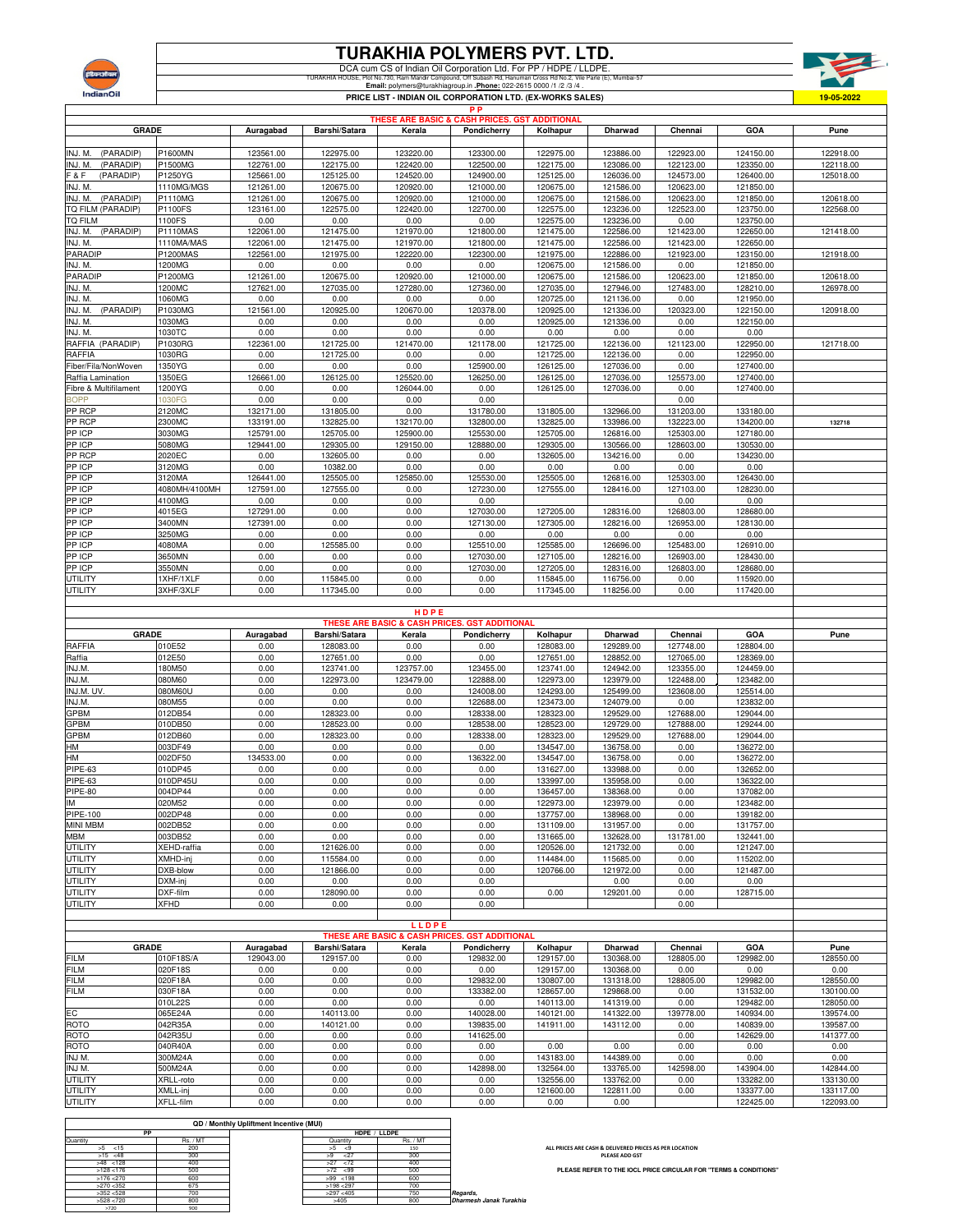

## **TURAKHIA POLYMERS PVT. LTD.**

DCA cum CS of Indian Oil Corporation Ltd. For PP / HDPE / LLDPE.<br>TURAKHA HOUSE, Pign Mandi Compound, Of Subash Rd, Hamuman Cross Rd No.2, Vie Pare (E), Mumbai-57<br>Email: polymers@turakhiagroup.in . <u>Phone:</u> 022-2615 0000 /1



|                                                                                                                                                                                                        |                         |                   |                        |                   | РP<br>THESE ARE BASIC & CASH PRICES. GST ADDITIONAL      |                        |                        |                        |                        |              |
|--------------------------------------------------------------------------------------------------------------------------------------------------------------------------------------------------------|-------------------------|-------------------|------------------------|-------------------|----------------------------------------------------------|------------------------|------------------------|------------------------|------------------------|--------------|
| GRADE                                                                                                                                                                                                  |                         | Auragabad         | Barshi/Satara          | Kerala            | Pondicherry                                              | Kolhapur               | <b>Dharwad</b>         | Chennai                | GOA                    | Pune         |
|                                                                                                                                                                                                        |                         |                   |                        |                   |                                                          |                        |                        |                        |                        |              |
| INJ. M.<br>(PARADIP)                                                                                                                                                                                   | P1600MN                 | 123561.00         | 122975.00              | 123220.00         | 123300.00                                                | 122975.00              | 123886.00              | 122923.00              | 124150.00              | 122918.00    |
| (PARADIP)<br>INJ. M.                                                                                                                                                                                   | P1500MG                 | 122761.00         | 122175.00              | 122420.00         | 122500.00                                                | 122175.00              | 123086.00              | 122123.00              | 123350.00              | 122118.00    |
| (PARADIP)<br>F & F                                                                                                                                                                                     | P1250YG                 | 125661.00         | 125125.00              | 124520.00         | 124900.00                                                | 125125.00              | 126036.00              | 124573.00              | 126400.00              | 125018.00    |
| INJ. M.                                                                                                                                                                                                | 1110MG/MGS              | 121261.00         | 120675.00              | 120920.00         | 121000.00                                                | 120675.00              | 121586.00              | 120623.00              | 121850.00              |              |
| (PARADIP)<br>INJ. M.                                                                                                                                                                                   | P1110MG                 | 121261.00         | 120675.00              | 120920.00         | 121000.00                                                | 120675.00              | 121586.00              | 120623.00              | 121850.00              | 120618.00    |
| TQ FILM (PARADIP)                                                                                                                                                                                      | P1100FS                 | 123161.00         | 122575.00              | 122420.00         | 122700.00                                                | 122575.00              | 123236.00              | 122523.00              | 123750.00              | 122568.00    |
| tq film                                                                                                                                                                                                | 1100FS                  | 0.00              | 0.00                   | 0.00              | 0.00                                                     | 122575.00              | 123236.00              | 0.00                   | 123750.00              |              |
| (PARADIP)<br>INJ. M.                                                                                                                                                                                   | <b>P1110MAS</b>         | 122061.00         | 121475.00              | 121970.00         | 121800.00                                                | 121475.00              | 122586.00              | 121423.00              | 122650.00              | 121418.00    |
| INJ. M.                                                                                                                                                                                                | 1110MA/MAS              | 122061.00         | 121475.00              | 121970.00         | 121800.00                                                | 121475.00              | 122586.00              | 121423.00              | 122650.00              |              |
| PARADIP                                                                                                                                                                                                | P1200MAS                | 122561.00         | 121975.00              | 122220.00         | 122300.00                                                | 121975.00              | 122886.00              | 121923.00              | 123150.00              | 121918.00    |
| INJ. M.<br>PARADIP                                                                                                                                                                                     | 1200MG<br>P1200MG       | 0.00<br>121261.00 | 0.00<br>120675.00      | 0.00<br>120920.00 | 0.00<br>121000.00                                        | 120675.00<br>120675.00 | 121586.00<br>121586.00 | 0.00<br>120623.00      | 121850.00<br>121850.00 | 120618.00    |
| INJ. M.                                                                                                                                                                                                | 1200MC                  | 127621.00         | 127035.00              | 127280.00         | 127360.00                                                | 127035.00              | 127946.00              | 127483.00              | 128210.00              | 126978.00    |
| INJ. M.                                                                                                                                                                                                | 1060MG                  | 0.00              | 0.00                   | 0.00              | 0.00                                                     | 120725.00              | 121136.00              | 0.00                   | 121950.00              |              |
| (PARADIP)<br>INJ. M.                                                                                                                                                                                   | P1030MG                 | 121561.00         | 120925.00              | 120670.00         | 120378.00                                                | 120925.00              | 121336.00              | 120323.00              | 122150.00              | 120918.00    |
| INJ. M.                                                                                                                                                                                                | 1030MG                  | 0.00              | 0.00                   | 0.00              | 0.00                                                     | 120925.00              | 121336.00              | 0.00                   | 122150.00              |              |
| INJ. M.                                                                                                                                                                                                | 1030TC                  | 0.00              | 0.00                   | 0.00              | 0.00                                                     | 0.00                   | 0.00                   | 0.00                   | 0.00                   |              |
| RAFFIA (PARADIP)                                                                                                                                                                                       | P1030RG                 | 122361.00         | 121725.00              | 121470.00         | 121178.00                                                | 121725.00              | 122136.00              | 121123.00              | 122950.00              | 121718.00    |
| RAFFIA                                                                                                                                                                                                 | 1030RG                  | 0.00              | 121725.00              | 0.00              | 0.00                                                     | 121725.00              | 122136.00              | 0.00                   | 122950.00              |              |
| Fiber/Fila/NonWoven                                                                                                                                                                                    | 1350YG                  | 0.00              | 0.00                   | 0.00              | 125900.00                                                | 126125.00              | 127036.00              | 0.00                   | 127400.00              |              |
| Raffia Lamination                                                                                                                                                                                      | 1350EG                  | 126661.00         | 126125.00              | 125520.00         | 126250.00                                                | 126125.00              | 127036.00              | 125573.00              | 127400.00              |              |
| Fibre & Multifilament                                                                                                                                                                                  | 1200YG                  | 0.00              | 0.00                   | 126044.00         | 0.00                                                     | 126125.00              | 127036.00              | 0.00                   | 127400.00              |              |
| <b>BOPP</b>                                                                                                                                                                                            | 1030FG                  | 0.00              | 0.00                   | 0.00              | 0.00                                                     |                        |                        | 0.00                   |                        |              |
| PP RCP                                                                                                                                                                                                 | 2120MC                  | 132171.00         | 131805.00              | 0.00              | 131780.00                                                | 131805.00              | 132966.00              | 131203.00              | 133180.00              |              |
| PP RCP                                                                                                                                                                                                 | 2300MC                  | 133191.00         | 132825.00              | 132170.00         | 132800.00                                                | 132825.00              | 133986.00              | 132223.00              | 134200.00              | 132718       |
| PP ICP                                                                                                                                                                                                 | 3030MG                  | 125791.00         | 125705.00              | 125900.00         | 125530.00                                                | 125705.00              | 126816.00              | 125303.00              | 127180.00              |              |
| PP ICP                                                                                                                                                                                                 | 5080MG                  | 129441.00         | 129305.00              | 129150.00         | 128880.00                                                | 129305.00              | 130566.00              | 128603.00              | 130530.00              |              |
| PP RCP                                                                                                                                                                                                 | 2020EC                  | 0.00              | 132605.00              | 0.00              | 0.00                                                     | 132605.00              | 134216.00              | 0.00                   | 134230.00              |              |
| PP ICP                                                                                                                                                                                                 | 3120MG                  | 0.00              | 10382.00               | 0.00              | 0.00                                                     | 0.00                   | 0.00                   | 0.00                   | 0.00                   |              |
| PP ICP<br>PP ICP                                                                                                                                                                                       | 3120MA<br>4080MH/4100MH | 126441.00         | 125505.00              | 125850.00         | 125530.00<br>127230.00                                   | 125505.00              | 126816.00<br>128416.00 | 125303.00              | 126430.00              |              |
| PP ICP                                                                                                                                                                                                 | 4100MG                  | 127591.00<br>0.00 | 127555.00<br>0.00      | 0.00<br>0.00      | 0.00                                                     | 127555.00              |                        | 127103.00<br>0.00      | 128230.00<br>0.00      |              |
| PP ICP                                                                                                                                                                                                 | 4015EG                  | 127291.00         | 0.00                   | 0.00              | 127030.00                                                | 127205.00              | 128316.00              | 126803.00              | 128680.00              |              |
| PP ICP                                                                                                                                                                                                 | 3400MN                  | 127391.00         | 0.00                   | 0.00              | 127130.00                                                | 127305.00              | 128216.00              | 126953.00              | 128130.00              |              |
| PP ICP                                                                                                                                                                                                 | 3250MG                  | 0.00              | 0.00                   | 0.00              | 0.00                                                     | 0.00                   | 0.00                   | 0.00                   | 0.00                   |              |
| PP ICP                                                                                                                                                                                                 | 4080MA                  | 0.00              | 125585.00              | 0.00              | 125510.00                                                | 125585.00              | 126696.00              | 125483.00              | 126910.00              |              |
| PP ICP                                                                                                                                                                                                 | 3650MN                  | 0.00              | 0.00                   | 0.00              | 127030.00                                                | 127105.00              | 128216.00              | 126903.00              | 128430.00              |              |
| PP ICP                                                                                                                                                                                                 | 3550MN                  | 0.00              | 0.00                   | 0.00              | 127030.00                                                | 127205.00              | 128316.00              | 126803.00              | 128680.00              |              |
| UTILITY                                                                                                                                                                                                | 1XHF/1XLF               | 0.00              | 115845.00              | 0.00              | 0.00                                                     | 115845.00              | 116756.00              | 0.00                   | 115920.00              |              |
| UTILITY                                                                                                                                                                                                | 3XHF/3XLF               | 0.00              | 117345.00              | 0.00              | 0.00                                                     | 117345.00              | 118256.00              | 0.00                   | 117420.00              |              |
|                                                                                                                                                                                                        |                         |                   |                        |                   |                                                          |                        |                        |                        |                        |              |
|                                                                                                                                                                                                        |                         |                   |                        |                   |                                                          |                        |                        |                        |                        |              |
|                                                                                                                                                                                                        |                         |                   |                        | HDPE              |                                                          |                        |                        |                        |                        |              |
|                                                                                                                                                                                                        |                         |                   |                        |                   | <b>THESE ARE BASIC &amp; CASH PRICES. GST ADDITIONAL</b> |                        |                        |                        |                        |              |
| <b>GRADE</b>                                                                                                                                                                                           |                         | Auragabad         | Barshi/Satara          | Kerala            | Pondicherry                                              | Kolhapur               | Dharwad                | Chennai                | GOA                    | Pune         |
|                                                                                                                                                                                                        | 010E52                  | 0.00              | 128083.00              | 0.00              | 0.00                                                     | 128083.00              | 129289.00              | 127748.00              | 128804.00              |              |
|                                                                                                                                                                                                        | 012E50                  | 0.00              | 127651.00              | 0.00              | 0.00                                                     | 127651.00              | 128852.00              | 127065.00              | 128369.00              |              |
|                                                                                                                                                                                                        | 180M50                  | 0.00              | 123741.00              | 123757.00         | 123455.00                                                | 123741.00              | 124942.00              | 123355.00              | 124459.00              |              |
|                                                                                                                                                                                                        | 080M60                  | 0.00              | 122973.00              | 123479.00         | 122888.00                                                | 122973.00              | 123979.00              | 122488.00              | 123482.00              |              |
|                                                                                                                                                                                                        | 080M60U                 | 0.00              | 0.00                   | 0.00              | 124008.00                                                | 124293.00              | 125499.00              | 123608.00              | 125514.00              |              |
| INJ.M.                                                                                                                                                                                                 | 080M55                  | 0.00              | 0.00                   | 0.00              | 122688.00                                                | 123473.00              | 124079.00              | 0.00                   | 123832.00              |              |
|                                                                                                                                                                                                        | 012DB54                 | 0.00              | 128323.00              | 0.00              | 128338.00                                                | 128323.00              | 129529.00              | 127688.00              | 129044.00              |              |
|                                                                                                                                                                                                        | 010DB50<br>012DB60      | 0.00<br>0.00      | 128523.00<br>128323.00 | 0.00<br>0.00      | 128538.00<br>128338.00                                   | 128523.00<br>128323.00 | 129729.00<br>129529.00 | 127888.00<br>127688.00 | 129244.00<br>129044.00 |              |
| HМ                                                                                                                                                                                                     | 003DF49                 | 0.00              | 0.00                   | 0.00              | 0.00                                                     | 134547.00              | 136758.00              | 0.00                   | 136272.00              |              |
| HМ                                                                                                                                                                                                     | 002DF50                 | 134533.00         | 0.00                   | 0.00              | 136322.00                                                | 134547.00              | 136758.00              | 0.00                   | 136272.00              |              |
|                                                                                                                                                                                                        | 010DP45                 | 0.00              | 0.00                   | 0.00              | 0.00                                                     | 131627.00              | 133988.00              | 0.00                   | 132652.00              |              |
|                                                                                                                                                                                                        | 010DP45U                | 0.00              | 0.00                   | 0.00              | 0.00                                                     | 133997.00              | 135958.00              | 0.00                   | 136322.00              |              |
|                                                                                                                                                                                                        | 004DP44                 | 0.00              | 0.00                   | 0.00              | 0.00                                                     | 136457.00              | 138368.00              | 0.00                   | 137082.00              |              |
| Μ                                                                                                                                                                                                      | 020M52                  | 0.00              | 0.00                   | 0.00              | 0.00                                                     | 122973.00              | 123979.00              | 0.00                   | 123482.00              |              |
|                                                                                                                                                                                                        | 002DP48                 | 0.00              | 0.00                   | 0.00              | 0.00                                                     | 137757.00              | 138968.00              | 0.00                   | 139182.00              |              |
|                                                                                                                                                                                                        | 002DB52                 | 0.00              | 0.00                   | 0.00              | 0.00                                                     | 131109.00              | 131957.00              | 0.00                   | 131757.00              |              |
|                                                                                                                                                                                                        | 003DB52                 | 0.00              | 0.00                   | 0.00              | 0.00                                                     | 131665.00              | 132628.00              | 131781.00              | 132441.00              |              |
|                                                                                                                                                                                                        | XEHD-raffia             | 0.00              | 121626.00              | 0.00              | 0.00                                                     | 120526.00              | 121732.00              | 0.00                   | 121247.00              |              |
|                                                                                                                                                                                                        | XMHD-inj                | 0.00              | 115584.00              | 0.00              | 0.00                                                     | 114484.00              | 115685.00              | 0.00                   | 115202.00              |              |
| UTILITY                                                                                                                                                                                                | DXB-blow                | 0.00              | 121866.00              | 0.00              | 0.00                                                     | 120766.00              | 121972.00              | 0.00                   | 121487.00              |              |
|                                                                                                                                                                                                        | DXM-inj                 | 0.00              | 0.00                   | 0.00              | 0.00                                                     |                        | 0.00                   | 0.00                   | 0.00                   |              |
|                                                                                                                                                                                                        | DXF-film                | 0.00              | 128090.00              | 0.00              | 0.00                                                     | 0.00                   | 129201.00              | 0.00                   | 128715.00              |              |
|                                                                                                                                                                                                        | <b>XFHD</b>             | 0.00              | 0.00                   | 0.00              | 0.00                                                     |                        |                        | 0.00                   |                        |              |
|                                                                                                                                                                                                        |                         |                   |                        | LLDPE             |                                                          |                        |                        |                        |                        |              |
|                                                                                                                                                                                                        |                         |                   |                        |                   | THESE ARE BASIC & CASH PRICES. GST ADDITIONAL            |                        |                        |                        |                        |              |
| GRADE                                                                                                                                                                                                  |                         | Auragabad         | Barshi/Satara          | Kerala            | Pondicherry                                              | Kolhapur               | <b>Dharwad</b>         | Chennai                | GOA                    | Pune         |
|                                                                                                                                                                                                        | 010F18S/A               | 129043.00         | 129157.00              | 0.00              | 129832.00                                                | 129157.00              | 130368.00              | 128805.00              | 129982.00              | 128550.00    |
|                                                                                                                                                                                                        | 020F18S                 | 0.00              | 0.00                   | 0.00              | 0.00                                                     | 129157.00              | 130368.00              | 0.00                   | 0.00                   | 0.00         |
|                                                                                                                                                                                                        | 020F18A                 | 0.00              | 0.00                   | 0.00              | 129832.00                                                | 130807.00              | 131318.00              | 128805.00              | 129982.00              | 128550.00    |
|                                                                                                                                                                                                        | 030F18A                 | 0.00              | 0.00                   | 0.00              | 133382.00                                                | 128657.00              | 129868.00              | 0.00                   | 131532.00              | 130100.00    |
|                                                                                                                                                                                                        | 010L22S                 | 0.00              | 0.00                   | 0.00              | 0.00                                                     | 140113.00              | 141319.00              | 0.00                   | 129482.00              | 128050.00    |
|                                                                                                                                                                                                        | 065E24A                 | 0.00              | 140113.00              | 0.00              | 140028.00                                                | 140121.00              | 141322.00              | 139778.00              | 140934.00              | 139574.00    |
|                                                                                                                                                                                                        | 042R35A                 | 0.00              | 140121.00              | 0.00              | 139835.00                                                | 141911.00              | 143112.00              | 0.00                   | 140839.00              | 139587.00    |
|                                                                                                                                                                                                        | 042R35U                 | 0.00              | 0.00                   | 0.00              | 141625.00                                                |                        |                        | 0.00                   | 142629.00              | 141377.00    |
| RAFFIA<br>Raffia<br>INJ.M.<br>INJ.M.<br>INJ.M. UV.<br>GPBM<br>GPBM<br>GPBM<br>PIPE-63<br>PIPE-63<br><b>PIPE-80</b><br>PIPE-100<br>МВМ<br>UTILITY<br>UTILITY<br>UTILITY<br>UTILITY<br>UTILITY<br>INJ M. | 040R40A<br>300M24A      | 0.00<br>0.00      | 0.00<br>0.00           | 0.00<br>0.00      | 0.00<br>0.00                                             | 0.00<br>143183.00      | 0.00<br>144389.00      | 0.00<br>0.00           | 0.00<br>0.00           | 0.00<br>0.00 |
|                                                                                                                                                                                                        | 500M24A                 | 0.00              | 0.00                   | 0.00              | 142898.00                                                | 132564.00              | 133765.00              | 142598.00              | 143904.00              | 142844.00    |
|                                                                                                                                                                                                        | XRLL-roto               | 0.00              | 0.00                   | 0.00              | 0.00                                                     | 132556.00              | 133762.00              | 0.00                   | 133282.00              | 133130.00    |
| MINI MBM<br><b>FILM</b><br>FILM<br><b>FILM</b><br>FILM<br>EC<br>ROTO<br>ROTO<br>ROTO<br>INJ M.<br>UTILITY<br>UTILITY                                                                                   | XMLL-inj                | 0.00              | 0.00                   | 0.00              | 0.00                                                     | 121600.00              | 122811.00              | 0.00                   | 133377.00              | 133117.00    |

|              |          | <b>QD / Monthly Upliftment Incentive (MUI)</b> |             |              |                         |
|--------------|----------|------------------------------------------------|-------------|--------------|-------------------------|
| PP           |          |                                                |             | HDPE / LLDPE |                         |
| Quantity     | Rs. / MT |                                                | Quantity    | Rs. / MT     |                         |
| $>5$ <15     | 200      |                                                | >5<br>- 29  | 150          |                         |
| $>15$ <48    | 300      |                                                | 27<br>>9    | 300          |                         |
| $>48$ < 128  | 400      |                                                | $>27$ <72   | 400          |                         |
| $>128$ < 176 | 500      |                                                | $>72$ <99   | 500          |                         |
| $>176$ <270  | 600      |                                                | $>99$ < 198 | 600          |                         |
| $>270$ < 352 | 675      |                                                | >198 < 297  | 700          |                         |
| >352 < 528   | 700      |                                                | >297 < 405  | 750          | Regards,                |
| >528 < 720   | 800      |                                                | >405        | 800          | Dharmesh Janak Turakhia |
| >720         | 900      |                                                |             |              |                         |

**ALL PRICES ARE CASH & DELIVERED PRICES AS PER LOCATION PLEASE ADD GST**

**PLEASE REFER TO THE IOCL PRICE CIRCULAR FOR "TERMS & CONDITIONS"**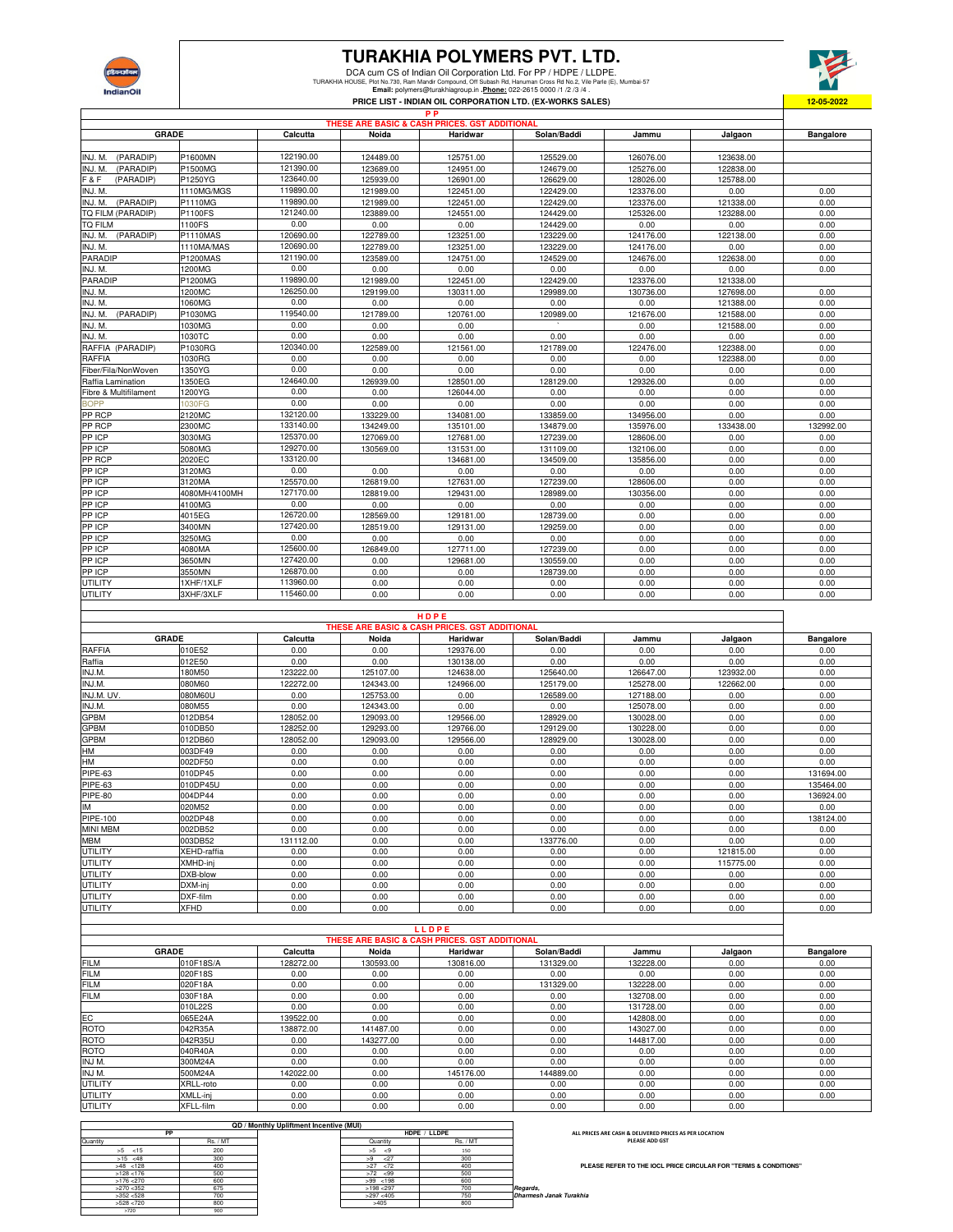

## **TURAKHIA POLYMERS PVT. LTD.**

DCA cum CS of Indian Oil Corporation Ltd. For PP / HDPE / LLDPE.<br>TURAKHIA HOUSE, Piem Mandi Compound, Olf Subash Rd, Hanuman Cross Rd No.2, Wie Parie (E), Mumbai-57<br>Email: polymers@turakhiagroup.in . <u>Phone:</u> 022-2615 000

**P P**



|                       |                 |           |           | THESE ARE BASIC & CASH PRICES. GST ADDITIONAL |             |           |           |                  |
|-----------------------|-----------------|-----------|-----------|-----------------------------------------------|-------------|-----------|-----------|------------------|
| <b>GRADE</b>          |                 | Calcutta  | Noida     | Haridwar                                      | Solan/Baddi | Jammu     | Jalgaon   | <b>Bangalore</b> |
|                       |                 |           |           |                                               |             |           |           |                  |
| (PARADIP)<br>INJ. M.  | P1600MN         | 122190.00 | 124489.00 | 125751.00                                     | 125529.00   | 126076.00 | 123638.00 |                  |
| INJ. M.<br>(PARADIP)  | P1500MG         | 121390.00 | 123689.00 | 124951.00                                     | 124679.00   | 125276.00 | 122838.00 |                  |
| F&F<br>(PARADIP)      | P1250YG         | 123640.00 | 125939.00 | 126901.00                                     | 126629.00   | 128026.00 | 125788.00 |                  |
| INJ. M.               | 1110MG/MGS      | 119890.00 | 121989.00 | 122451.00                                     | 122429.00   | 123376.00 | 0.00      | 0.00             |
| INJ. M. (PARADIP)     | P1110MG         | 119890.00 | 121989.00 | 122451.00                                     | 122429.00   | 123376.00 | 121338.00 | 0.00             |
| TQ FILM (PARADIP)     | P1100FS         | 121240.00 | 123889.00 | 124551.00                                     | 124429.00   | 125326.00 | 123288.00 | 0.00             |
| <b>TQ FILM</b>        | 1100FS          | 0.00      | 0.00      | 0.00                                          | 124429.00   | 0.00      | 0.00      | 0.00             |
| INJ. M. (PARADIP)     | <b>P1110MAS</b> | 120690.00 | 122789.00 | 123251.00                                     | 123229.00   | 124176.00 | 122138.00 | 0.00             |
| INJ. M.               | 1110MA/MAS      | 120690.00 | 122789.00 | 123251.00                                     | 123229.00   | 124176.00 | 0.00      | 0.00             |
| PARADIP               | P1200MAS        | 121190.00 | 123589.00 | 124751.00                                     | 124529.00   | 124676.00 | 122638.00 | 0.00             |
| INJ. M.               | 1200MG          | 0.00      | 0.00      | 0.00                                          | 0.00        | 0.00      | 0.00      | 0.00             |
| <b>PARADIP</b>        | P1200MG         | 119890.00 | 121989.00 | 122451.00                                     | 122429.00   | 123376.00 | 121338.00 |                  |
| INJ. M.               | 1200MC          | 126250.00 | 129199.00 | 130311.00                                     | 129989.00   | 130736.00 | 127698.00 | 0.00             |
| INJ. M.               | 1060MG          | 0.00      | 0.00      | 0.00                                          | 0.00        | 0.00      | 121388.00 | 0.00             |
| INJ. M. (PARADIP)     | P1030MG         | 119540.00 | 121789.00 | 120761.00                                     | 120989.00   | 121676.00 | 121588.00 | 0.00             |
| INJ. M.               | 1030MG          | 0.00      | 0.00      | 0.00                                          |             | 0.00      | 121588.00 | 0.00             |
| INJ. M.               | 1030TC          | 0.00      | 0.00      | 0.00                                          | 0.00        | 0.00      | 0.00      | 0.00             |
| RAFFIA (PARADIP)      | P1030RG         | 120340.00 | 122589.00 | 121561.00                                     | 121789.00   | 122476.00 | 122388.00 | 0.00             |
| <b>RAFFIA</b>         | 1030RG          | 0.00      | 0.00      | 0.00                                          | 0.00        | 0.00      | 122388.00 | 0.00             |
| Fiber/Fila/NonWoven   | 1350YG          | 0.00      | 0.00      | 0.00                                          | 0.00        | 0.00      | 0.00      | 0.00             |
| Raffia Lamination     | 1350EG          | 124640.00 | 126939.00 | 128501.00                                     | 128129.00   | 129326.00 | 0.00      | 0.00             |
| Fibre & Multifilament | 1200YG          | 0.00      | 0.00      | 126044.00                                     | 0.00        | 0.00      | 0.00      | 0.00             |
| <b>BOPP</b>           | 1030FG          | 0.00      | 0.00      | 0.00                                          | 0.00        | 0.00      | 0.00      | 0.00             |
| PP RCP                | 2120MC          | 132120.00 | 133229.00 | 134081.00                                     | 133859.00   | 134956.00 | 0.00      | 0.00             |
| PP RCP                | 2300MC          | 133140.00 | 134249.00 | 135101.00                                     | 134879.00   | 135976.00 | 133438.00 | 132992.00        |
| PP ICP                | 3030MG          | 125370.00 | 127069.00 | 127681.00                                     | 127239.00   | 128606.00 | 0.00      | 0.00             |
| PP ICP                | 5080MG          | 129270.00 | 130569.00 | 131531.00                                     | 131109.00   | 132106.00 | 0.00      | 0.00             |
| PP RCP                | 2020EC          | 133120.00 |           | 134681.00                                     | 134509.00   | 135856.00 | 0.00      | 0.00             |
| PP ICP                | 3120MG          | 0.00      | 0.00      | 0.00                                          | 0.00        | 0.00      | 0.00      | 0.00             |
| PP ICP                | 3120MA          | 125570.00 | 126819.00 | 127631.00                                     | 127239.00   | 128606.00 | 0.00      | 0.00             |
| PP ICP                | 4080MH/4100MH   | 127170.00 | 128819.00 | 129431.00                                     | 128989.00   | 130356.00 | 0.00      | 0.00             |
| PP ICP                | 4100MG          | 0.00      | 0.00      | 0.00                                          | 0.00        | 0.00      | 0.00      | 0.00             |
| PP ICP                | 4015EG          | 126720.00 | 128569.00 | 129181.00                                     | 128739.00   | 0.00      | 0.00      | 0.00             |
| PP ICP                | 3400MN          | 127420.00 | 128519.00 | 129131.00                                     | 129259.00   | 0.00      | 0.00      | 0.00             |
| PP ICP                | 3250MG          | 0.00      | 0.00      | 0.00                                          | 0.00        | 0.00      | 0.00      | 0.00             |
| PP ICP                | 4080MA          | 125600.00 | 126849.00 | 127711.00                                     | 127239.00   | 0.00      | 0.00      | 0.00             |
| PP ICP                | 3650MN          | 127420.00 | 0.00      | 129681.00                                     | 130559.00   | 0.00      | 0.00      | 0.00             |
| PP ICP                | 3550MN          | 126870.00 | 0.00      | 0.00                                          | 128739.00   | 0.00      | 0.00      | 0.00             |
| UTILITY               | 1XHF/1XLF       | 113960.00 | 0.00      | 0.00                                          | 0.00        | 0.00      | 0.00      | 0.00             |
| UTILITY               | 3XHF/3XLF       | 115460.00 | 0.00      | 0.00                                          | 0.00        | 0.00      | 0.00      | 0.00             |

|                 |              |           |           | HDPE                                          |             |           |           |                  |
|-----------------|--------------|-----------|-----------|-----------------------------------------------|-------------|-----------|-----------|------------------|
|                 |              |           |           | THESE ARE BASIC & CASH PRICES, GST ADDITIONAL |             |           |           |                  |
|                 | <b>GRADE</b> | Calcutta  | Noida     | Haridwar                                      | Solan/Baddi | Jammu     | Jalgaon   | <b>Bangalore</b> |
| RAFFIA          | 010E52       | 0.00      | 0.00      | 129376.00                                     | 0.00        | 0.00      | 0.00      | 0.00             |
| Raffia          | 012E50       | 0.00      | 0.00      | 130138.00                                     | 0.00        | 0.00      | 0.00      | 0.00             |
| INJ.M.          | 180M50       | 123222.00 | 125107.00 | 124638.00                                     | 125640.00   | 126647.00 | 123932.00 | 0.00             |
| INJ.M.          | 080M60       | 122272.00 | 124343.00 | 124966.00                                     | 125179.00   | 125278.00 | 122662.00 | 0.00             |
| INJ.M. UV.      | 080M60U      | 0.00      | 125753.00 | 0.00                                          | 126589.00   | 127188.00 | 0.00      | 0.00             |
| INJ.M.          | 080M55       | 0.00      | 124343.00 | 0.00                                          | 0.00        | 125078.00 | 0.00      | 0.00             |
| GPBM            | 012DB54      | 128052.00 | 129093.00 | 129566.00                                     | 128929.00   | 130028.00 | 0.00      | 0.00             |
| <b>GPBM</b>     | 010DB50      | 128252.00 | 129293.00 | 129766.00                                     | 129129.00   | 130228.00 | 0.00      | 0.00             |
| GPBM            | 012DB60      | 128052.00 | 129093.00 | 129566.00                                     | 128929.00   | 130028.00 | 0.00      | 0.00             |
| HM              | 003DF49      | 0.00      | 0.00      | 0.00                                          | 0.00        | 0.00      | 0.00      | 0.00             |
| <b>HM</b>       | 002DF50      | 0.00      | 0.00      | 0.00                                          | 0.00        | 0.00      | 0.00      | 0.00             |
| PIPE-63         | 010DP45      | 0.00      | 0.00      | 0.00                                          | 0.00        | 0.00      | 0.00      | 131694.00        |
| PIPE-63         | 010DP45U     | 0.00      | 0.00      | 0.00                                          | 0.00        | 0.00      | 0.00      | 135464.00        |
| PIPE-80         | 004DP44      | 0.00      | 0.00      | 0.00                                          | 0.00        | 0.00      | 0.00      | 136924.00        |
| IM              | 020M52       | 0.00      | 0.00      | 0.00                                          | 0.00        | 0.00      | 0.00      | 0.00             |
| PIPE-100        | 002DP48      | 0.00      | 0.00      | 0.00                                          | 0.00        | 0.00      | 0.00      | 138124.00        |
| <b>MINI MBM</b> | 002DB52      | 0.00      | 0.00      | 0.00                                          | 0.00        | 0.00      | 0.00      | 0.00             |
| <b>MBM</b>      | 003DB52      | 131112.00 | 0.00      | 0.00                                          | 133776.00   | 0.00      | 0.00      | 0.00             |
| <b>UTILITY</b>  | XEHD-raffia  | 0.00      | 0.00      | 0.00                                          | 0.00        | 0.00      | 121815.00 | 0.00             |
| UTILITY         | XMHD-inj     | 0.00      | 0.00      | 0.00                                          | 0.00        | 0.00      | 115775.00 | 0.00             |
| <b>UTILITY</b>  | DXB-blow     | 0.00      | 0.00      | 0.00                                          | 0.00        | 0.00      | 0.00      | 0.00             |
| <b>UTILITY</b>  | DXM-inj      | 0.00      | 0.00      | 0.00                                          | 0.00        | 0.00      | 0.00      | 0.00             |
| UTILITY         | DXF-film     | 0.00      | 0.00      | 0.00                                          | 0.00        | 0.00      | 0.00      | 0.00             |
| UTILITY         | <b>XFHD</b>  | 0.00      | 0.00      | 0.00                                          | 0.00        | 0.00      | 0.00      | 0.00             |
|                 |              |           |           |                                               |             |           |           |                  |

|                |                 |           |           | LLDPE                                         |             |           |         |                  |
|----------------|-----------------|-----------|-----------|-----------------------------------------------|-------------|-----------|---------|------------------|
|                |                 |           |           | THESE ARE BASIC & CASH PRICES, GST ADDITIONAL |             |           |         |                  |
|                | <b>GRADE</b>    | Calcutta  | Noida     | Haridwar                                      | Solan/Baddi | Jammu     | Jalgaon | <b>Bangalore</b> |
| <b>FILM</b>    | 010F18S/A       | 128272.00 | 130593.00 | 130816.00                                     | 131329.00   | 132228.00 | 0.00    | 0.00             |
| <b>FILM</b>    | 020F18S         | 0.00      | 0.00      | 0.00                                          | 0.00        | 0.00      | 0.00    | 0.00             |
| <b>FILM</b>    | 020F18A         | 0.00      | 0.00      | 0.00                                          | 131329.00   | 132228.00 | 0.00    | 0.00             |
| <b>FILM</b>    | 030F18A         | 0.00      | 0.00      | 0.00                                          | 0.00        | 132708.00 | 0.00    | 0.00             |
|                | 010L22S         | 0.00      | 0.00      | 0.00                                          | 0.00        | 131728.00 | 0.00    | 0.00             |
| EC             | 065E24A         | 139522.00 | 0.00      | 0.00                                          | 0.00        | 142808.00 | 0.00    | 0.00             |
| <b>ROTO</b>    | 042R35A         | 138872.00 | 141487.00 | 0.00                                          | 0.00        | 143027.00 | 0.00    | 0.00             |
| <b>ROTO</b>    | 042R35U         | 0.00      | 143277.00 | 0.00                                          | 0.00        | 144817.00 | 0.00    | 0.00             |
| <b>ROTO</b>    | 040R40A         | 0.00      | 0.00      | 0.00                                          | 0.00        | 0.00      | 0.00    | 0.00             |
| INJ M.         | 300M24A         | 0.00      | 0.00      | 0.00                                          | 0.00        | 0.00      | 0.00    | 0.00             |
| INJ M.         | 500M24A         | 142022.00 | 0.00      | 145176.00                                     | 144889.00   | 0.00      | 0.00    | 0.00             |
| <b>UTILITY</b> | XRLL-roto       | 0.00      | 0.00      | 0.00                                          | 0.00        | 0.00      | 0.00    | 0.00             |
| <b>UTILITY</b> | <b>XMLL-ini</b> | 0.00      | 0.00      | 0.00                                          | 0.00        | 0.00      | 0.00    | 0.00             |
| <b>UTILITY</b> | XFLL-film       | 0.00      | 0.00      | 0.00                                          | 0.00        | 0.00      | 0.00    |                  |

|                                                        |                 |              | <b>QD</b> / Monthly Upliftment Incentive (MUI) |        |              |  |
|--------------------------------------------------------|-----------------|--------------|------------------------------------------------|--------|--------------|--|
| ALL PRICES ARE CASH & DELIVERED PRICES AS PER LOCATION | HDPE / LLDPE    |              |                                                | PP     |              |  |
| <b>PLEASE ADD GST</b>                                  | <b>Rs. / MT</b> | Quantity     |                                                | Rs./MT | Quantity     |  |
|                                                        | 150             | >5<br>- <9   |                                                | 200    | $>5$ < 15    |  |
|                                                        | 300             | 27<br>>9     |                                                | 300    | $>15$ <48    |  |
| PLEASE REFER TO THE IOCL PRICE CIRCULAR FO             | 400             | $>27$ <72    |                                                | 400    | $>48$ < 128  |  |
|                                                        | 500             | $>72$ <99    |                                                | 500    | $>128$ < 176 |  |
|                                                        | 600             | $>99$ < 198  |                                                | 600    | $>176$ < 270 |  |
| Regards,                                               | 700             | $>198$ < 297 |                                                | 675    | $>270$ < 352 |  |
| Dharmesh Janak Turakhia                                | 750             | $>297$ <405  |                                                | 700    | >352 < 528   |  |
|                                                        | 800             | >405         |                                                | 800    | >528 < 720   |  |
|                                                        |                 |              |                                                | 900    | >720         |  |

**PLEASE REFER TO THE IOCL PRICE CIRCULAR FOR "TERMS & CONDITIONS"**